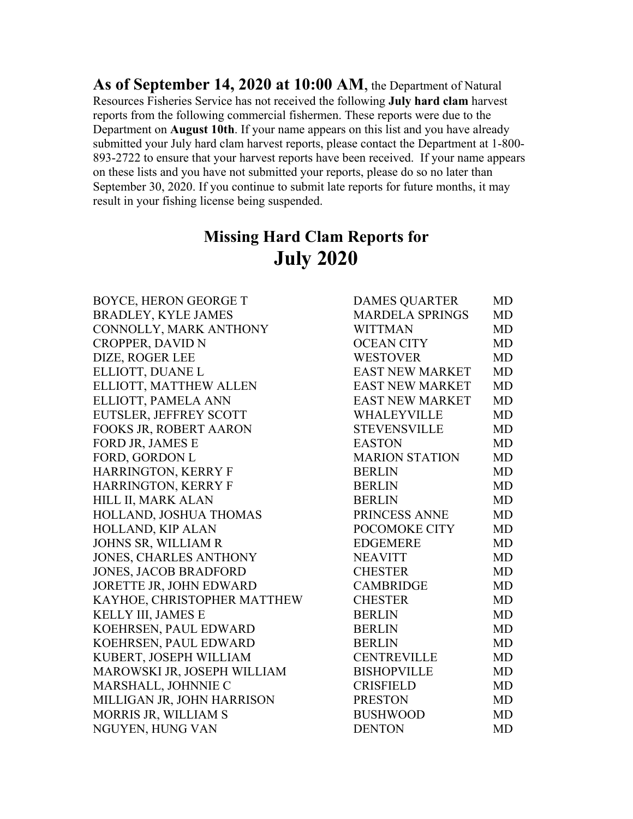**As of September 14, 2020 at 10:00 AM**, the Department of Natural Resources Fisheries Service has not received the following **July hard clam** harvest reports from the following commercial fishermen. These reports were due to the Department on **August 10th**. If your name appears on this list and you have already submitted your July hard clam harvest reports, please contact the Department at 1-800- 893-2722 to ensure that your harvest reports have been received. If your name appears on these lists and you have not submitted your reports, please do so no later than September 30, 2020. If you continue to submit late reports for future months, it may result in your fishing license being suspended.

## **Missing Hard Clam Reports for July 2020**

| <b>BOYCE, HERON GEORGE T</b>  | <b>DAMES QUARTER</b>   | <b>MD</b> |
|-------------------------------|------------------------|-----------|
| <b>BRADLEY, KYLE JAMES</b>    | <b>MARDELA SPRINGS</b> | <b>MD</b> |
| CONNOLLY, MARK ANTHONY        | <b>WITTMAN</b>         | <b>MD</b> |
| <b>CROPPER, DAVID N</b>       | <b>OCEAN CITY</b>      | <b>MD</b> |
| DIZE, ROGER LEE               | <b>WESTOVER</b>        | <b>MD</b> |
| ELLIOTT, DUANE L              | <b>EAST NEW MARKET</b> | <b>MD</b> |
| ELLIOTT, MATTHEW ALLEN        | <b>EAST NEW MARKET</b> | <b>MD</b> |
| ELLIOTT, PAMELA ANN           | <b>EAST NEW MARKET</b> | <b>MD</b> |
| EUTSLER, JEFFREY SCOTT        | WHALEYVILLE            | <b>MD</b> |
| FOOKS JR, ROBERT AARON        | <b>STEVENSVILLE</b>    | <b>MD</b> |
| FORD JR, JAMES E              | <b>EASTON</b>          | <b>MD</b> |
| FORD, GORDON L                | <b>MARION STATION</b>  | <b>MD</b> |
| <b>HARRINGTON, KERRY F</b>    | <b>BERLIN</b>          | <b>MD</b> |
| <b>HARRINGTON, KERRY F</b>    | <b>BERLIN</b>          | <b>MD</b> |
| HILL II, MARK ALAN            | <b>BERLIN</b>          | <b>MD</b> |
| HOLLAND, JOSHUA THOMAS        | PRINCESS ANNE          | <b>MD</b> |
| HOLLAND, KIP ALAN             | POCOMOKE CITY          | <b>MD</b> |
| JOHNS SR, WILLIAM R           | <b>EDGEMERE</b>        | <b>MD</b> |
| <b>JONES, CHARLES ANTHONY</b> | <b>NEAVITT</b>         | <b>MD</b> |
| <b>JONES, JACOB BRADFORD</b>  | <b>CHESTER</b>         | <b>MD</b> |
| JORETTE JR, JOHN EDWARD       | <b>CAMBRIDGE</b>       | <b>MD</b> |
| KAYHOE, CHRISTOPHER MATTHEW   | <b>CHESTER</b>         | <b>MD</b> |
| KELLY III, JAMES E            | <b>BERLIN</b>          | <b>MD</b> |
| KOEHRSEN, PAUL EDWARD         | <b>BERLIN</b>          | <b>MD</b> |
| KOEHRSEN, PAUL EDWARD         | <b>BERLIN</b>          | <b>MD</b> |
| KUBERT, JOSEPH WILLIAM        | <b>CENTREVILLE</b>     | <b>MD</b> |
| MAROWSKI JR, JOSEPH WILLIAM   | <b>BISHOPVILLE</b>     | <b>MD</b> |
| MARSHALL, JOHNNIE C           | <b>CRISFIELD</b>       | <b>MD</b> |
| MILLIGAN JR, JOHN HARRISON    | <b>PRESTON</b>         | <b>MD</b> |
| MORRIS JR, WILLIAM S          | <b>BUSHWOOD</b>        | <b>MD</b> |
| NGUYEN, HUNG VAN              | <b>DENTON</b>          | <b>MD</b> |
|                               |                        |           |